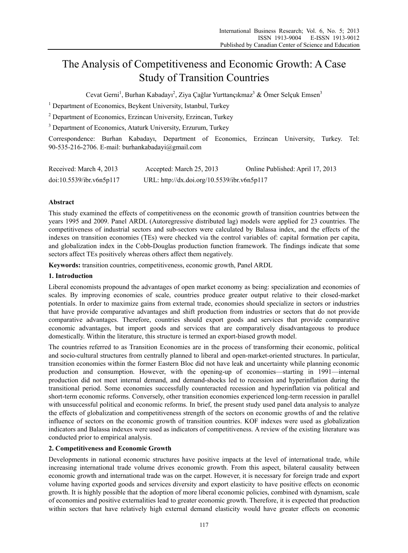# The Analysis of Competitiveness and Economic Growth: A Case Study of Transition Countries

Cevat Gerni<sup>1</sup>, Burhan Kabadayı<sup>2</sup>, Ziya Çağlar Yurttançıkmaz<sup>3</sup> & Ömer Selçuk Emsen<sup>3</sup>

<sup>1</sup> Department of Economics, Beykent University, Istanbul, Turkey

<sup>2</sup> Department of Economics, Erzincan University, Erzincan, Turkey

<sup>3</sup> Department of Economics, Ataturk University, Erzurum, Turkey

Correspondence: Burhan Kabadayı, Department of Economics, Erzincan University, Turkey. Tel: 90-535-216-2706. E-mail: burhankabadayi@gmail.com

| Received: March 4, 2013  | Accepted: March 25, 2013                    | Online Published: April 17, 2013 |
|--------------------------|---------------------------------------------|----------------------------------|
| doi:10.5539/ibr.v6n5p117 | URL: http://dx.doi.org/10.5539/ibr.v6n5p117 |                                  |

## **Abstract**

This study examined the effects of competitiveness on the economic growth of transition countries between the years 1995 and 2009. Panel ARDL (Autoregressive distributed lag) models were applied for 23 countries. The competitiveness of industrial sectors and sub-sectors were calculated by Balassa index, and the effects of the indexes on transition economies (TEs) were checked via the control variables of: capital formation per capita, and globalization index in the Cobb-Douglas production function framework. The findings indicate that some sectors affect TEs positively whereas others affect them negatively.

**Keywords:** transition countries, competitiveness, economic growth, Panel ARDL

#### **1. Introduction**

Liberal economists propound the advantages of open market economy as being: specialization and economies of scales. By improving economies of scale, countries produce greater output relative to their closed-market potentials. In order to maximize gains from external trade, economies should specialize in sectors or industries that have provide comparative advantages and shift production from industries or sectors that do not provide comparative advantages. Therefore, countries should export goods and services that provide comparative economic advantages, but import goods and services that are comparatively disadvantageous to produce domestically. Within the literature, this structure is termed an export-biased growth model.

The countries referred to as Transition Economies are in the process of transforming their economic, political and socio-cultural structures from centrally planned to liberal and open-market-oriented structures. In particular, transition economies within the former Eastern Bloc did not have leak and uncertainty while planning economic production and consumption. However, with the opening-up of economies—starting in 1991—internal production did not meet internal demand, and demand-shocks led to recession and hyperinflation during the transitional period. Some economies successfully counteracted recession and hyperinflation via political and short-term economic reforms. Conversely, other transition economies experienced long-term recession in parallel with unsuccessful political and economic reforms. In brief, the present study used panel data analysis to analyze the effects of globalization and competitiveness strength of the sectors on economic growths of and the relative influence of sectors on the economic growth of transition countries. KOF indexes were used as globalization indicators and Balassa indexes were used as indicators of competitiveness. A review of the existing literature was conducted prior to empirical analysis.

## **2. Competitiveness and Economic Growth**

Developments in national economic structures have positive impacts at the level of international trade, while increasing international trade volume drives economic growth. From this aspect, bilateral causality between economic growth and international trade was on the carpet. However, it is necessary for foreign trade and export volume having exported goods and services diversity and export elasticity to have positive effects on economic growth. It is highly possible that the adoption of more liberal economic policies, combined with dynamism, scale of economies and positive externalities lead to greater economic growth. Therefore, it is expected that production within sectors that have relatively high external demand elasticity would have greater effects on economic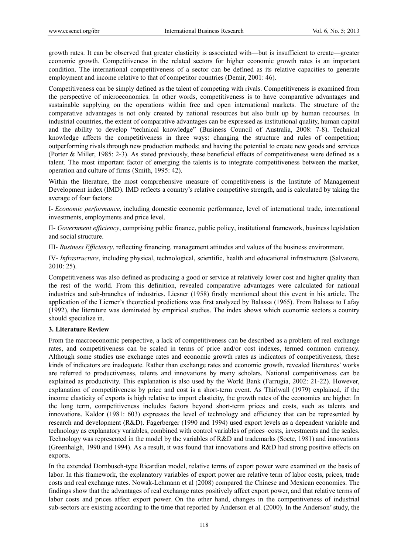growth rates. It can be observed that greater elasticity is associated with—but is insufficient to create—greater economic growth. Competitiveness in the related sectors for higher economic growth rates is an important condition. The international competitiveness of a sector can be defined as its relative capacities to generate employment and income relative to that of competitor countries (Demir, 2001: 46).

Competitiveness can be simply defined as the talent of competing with rivals. Competitiveness is examined from the perspective of microeconomics. In other words, competitiveness is to have comparative advantages and sustainable supplying on the operations within free and open international markets. The structure of the comparative advantages is not only created by national resources but also built up by human recourses. In industrial countries, the extent of comparative advantages can be expressed as institutional quality, human capital and the ability to develop "technical knowledge" (Business Council of Australia, 2008: 7-8). Technical knowledge affects the competitiveness in three ways: changing the structure and rules of competition; outperforming rivals through new production methods; and having the potential to create new goods and services (Porter & Miller, 1985: 2-3). As stated previously, these beneficial effects of competitiveness were defined as a talent. The most important factor of emerging the talents is to integrate competitiveness between the market, operation and culture of firms (Smith, 1995: 42).

Within the literature, the most comprehensive measure of competitiveness is the Institute of Management Development index (IMD). IMD reflects a country's relative competitive strength, and is calculated by taking the average of four factors:

I- *Economic performance*, including domestic economic performance, level of international trade, international investments, employments and price level.

II- *Government efficiency*, comprising public finance, public policy, institutional framework, business legislation and social structure.

III- *Business Efficiency*, reflecting financing, management attitudes and values of the business environment*.*

IV- *Infrastructure*, including physical, technological, scientific, health and educational infrastructure (Salvatore, 2010: 25).

Competitiveness was also defined as producing a good or service at relatively lower cost and higher quality than the rest of the world. From this definition, revealed comparative advantages were calculated for national industries and sub-branches of industries. Liesner (1958) firstly mentioned about this event in his article. The application of the Lierner's theoretical predictions was first analyzed by Balassa (1965). From Balassa to Lafay (1992), the literature was dominated by empirical studies. The index shows which economic sectors a country should specialize in.

### **3. Literature Review**

From the macroeconomic perspective, a lack of competitiveness can be described as a problem of real exchange rates, and competitiveness can be scaled in terms of price and/or cost indexes, termed common currency. Although some studies use exchange rates and economic growth rates as indicators of competitiveness, these kinds of indicators are inadequate. Rather than exchange rates and economic growth, revealed literatures' works are referred to productiveness, talents and innovations by many scholars. National competitiveness can be explained as productivity. This explanation is also used by the World Bank (Farrugia, 2002: 21-22). However, explanation of competitiveness by price and cost is a short-term event. As Thirlwall (1979) explained, if the income elasticity of exports is high relative to import elasticity, the growth rates of the economies are higher. In the long term, competitiveness includes factors beyond short-term prices and costs, such as talents and innovations. Kaldor (1981: 603) expresses the level of technology and efficiency that can be represented by research and development (R&D). Fagerberger (1990 and 1994) used export levels as a dependent variable and technology as explanatory variables, combined with control variables of prices–costs, investments and the scales. Technology was represented in the model by the variables of R&D and trademarks (Soete, 1981) and innovations (Greenhalgh, 1990 and 1994). As a result, it was found that innovations and R&D had strong positive effects on exports.

In the extended Dornbusch-type Ricardian model, relative terms of export power were examined on the basis of labor. In this framework, the explanatory variables of export power are relative term of labor costs, prices, trade costs and real exchange rates. Nowak-Lehmann et al (2008) compared the Chinese and Mexican economies. The findings show that the advantages of real exchange rates positively affect export power, and that relative terms of labor costs and prices affect export power. On the other hand, changes in the competitiveness of industrial sub-sectors are existing according to the time that reported by Anderson et al. (2000). In the Anderson' study, the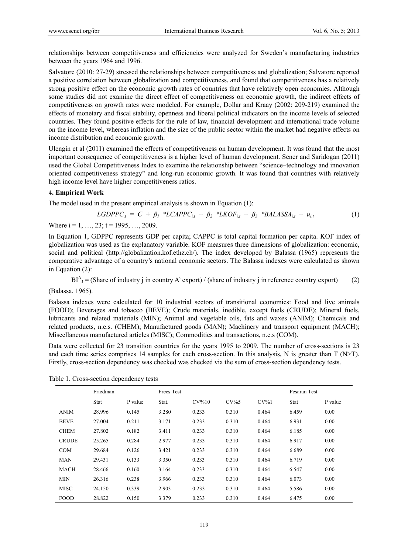relationships between competitiveness and efficiencies were analyzed for Sweden's manufacturing industries between the years 1964 and 1996.

Salvatore (2010: 27-29) stressed the relationships between competitiveness and globalization; Salvatore reported a positive correlation between globalization and competitiveness, and found that competitiveness has a relatively strong positive effect on the economic growth rates of countries that have relatively open economies. Although some studies did not examine the direct effect of competitiveness on economic growth, the indirect effects of competitiveness on growth rates were modeled. For example, Dollar and Kraay (2002: 209-219) examined the effects of monetary and fiscal stability, openness and liberal political indicators on the income levels of selected countries. They found positive effects for the rule of law, financial development and international trade volume on the income level, whereas inflation and the size of the public sector within the market had negative effects on income distribution and economic growth.

Ulengin et al (2011) examined the effects of competitiveness on human development. It was found that the most important consequence of competitiveness is a higher level of human development. Sener and Saridogan (2011) used the Global Competitiveness Index to examine the relationship between "science–technology and innovation oriented competitiveness strategy" and long-run economic growth. It was found that countries with relatively high income level have higher competitiveness ratios.

### **4. Empirical Work**

The model used in the present empirical analysis is shown in Equation (1):

$$
LGDPPC_t = C + \beta_1 * LCAPPC_{it} + \beta_2 * LKOF_{it} + \beta_3 * BALASSA_{it} + u_{it}
$$
 (1)

Where  $i = 1, ..., 23$ ;  $t = 1995, ..., 2009$ .

In Equation 1, GDPPC represents GDP per capita; CAPPC is total capital formation per capita. KOF index of globalization was used as the explanatory variable. KOF measures three dimensions of globalization: economic, social and political (http://globalization.kof.ethz.ch/). The index developed by Balassa (1965) represents the comparative advantage of a country's national economic sectors. The Balassa indexes were calculated as shown in Equation (2):

 $BI<sup>A</sup><sub>J</sub> = (Share of industry j in country A' export) / (share of industry j in reference country export)$  (2)

(Balassa, 1965).

Balassa indexes were calculated for 10 industrial sectors of transitional economies: Food and live animals (FOOD); Beverages and tobacco (BEVE); Crude materials, inedible, except fuels (CRUDE); Mineral fuels, lubricants and related materials (MIN); Animal and vegetable oils, fats and waxes (ANIM); Chemicals and related products, n.e.s. (CHEM); Manufactured goods (MAN); Machinery and transport equipment (MACH); Miscellaneous manufactured articles (MISC); Commodities and transactions, n.e.s (COM).

Data were collected for 23 transition countries for the years 1995 to 2009. The number of cross-sections is 23 and each time series comprises 14 samples for each cross-section. In this analysis, N is greater than T (N>T). Firstly, cross-section dependency was checked was checked via the sum of cross-section dependency tests.

|              | Friedman |         | Frees Test |          |         |         | Pesaran Test |         |
|--------------|----------|---------|------------|----------|---------|---------|--------------|---------|
|              | Stat     | P value | Stat.      | $CV\%10$ | $CV\%5$ | $CV\%1$ | Stat         | P value |
| <b>ANIM</b>  | 28.996   | 0.145   | 3.280      | 0.233    | 0.310   | 0.464   | 6.459        | 0.00    |
| <b>BEVE</b>  | 27.004   | 0.211   | 3.171      | 0.233    | 0.310   | 0.464   | 6.931        | 0.00    |
| <b>CHEM</b>  | 27.802   | 0.182   | 3.411      | 0.233    | 0.310   | 0.464   | 6.185        | 0.00    |
| <b>CRUDE</b> | 25.265   | 0.284   | 2.977      | 0.233    | 0.310   | 0.464   | 6.917        | 0.00    |
| <b>COM</b>   | 29.684   | 0.126   | 3.421      | 0.233    | 0.310   | 0.464   | 6.689        | 0.00    |
| <b>MAN</b>   | 29.431   | 0.133   | 3.350      | 0.233    | 0.310   | 0.464   | 6.719        | 0.00    |
| MACH         | 28.466   | 0.160   | 3.164      | 0.233    | 0.310   | 0.464   | 6.547        | 0.00    |
| MIN          | 26.316   | 0.238   | 3.966      | 0.233    | 0.310   | 0.464   | 6.073        | 0.00    |
| <b>MISC</b>  | 24.150   | 0.339   | 2.903      | 0.233    | 0.310   | 0.464   | 5.586        | 0.00    |
| <b>FOOD</b>  | 28.822   | 0.150   | 3.379      | 0.233    | 0.310   | 0.464   | 6.475        | 0.00    |

Table 1. Cross-section dependency tests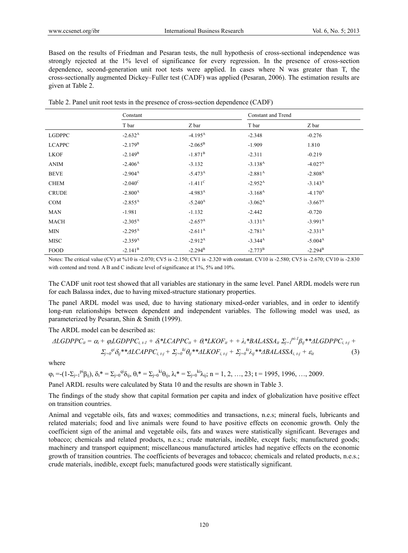Based on the results of Friedman and Pesaran tests, the null hypothesis of cross-sectional independence was strongly rejected at the 1% level of significance for every regression. In the presence of cross-section dependence, second-generation unit root tests were applied. In cases where N was greater than T, the cross-sectionally augmented Dickey–Fuller test (CADF) was applied (Pesaran, 2006). The estimation results are given at Table 2.

|               | Constant            |                       | Constant and Trend |                       |  |
|---------------|---------------------|-----------------------|--------------------|-----------------------|--|
|               | T bar               | Z bar                 | T bar              | Z bar                 |  |
| <b>LGDPPC</b> | $-2.632^{A}$        | $-4.195A$             | $-2.348$           | $-0.276$              |  |
| <b>LCAPPC</b> | $-2.179^{B}$        | $-2.065^{\rm B}$      | $-1.909$           | 1.810                 |  |
| <b>LKOF</b>   | $-2.149^{B}$        | $-1.871^{\rm B}$      | $-2.311$           | $-0.219$              |  |
| <b>ANIM</b>   | $-2.406A$           | $-3.132$              | $-3.138^{A}$       | $-4.027A$             |  |
| <b>BEVE</b>   | $-2.904A$           | $-5.473^{A}$          | $-2.881A$          | $-2.808^{A}$          |  |
| <b>CHEM</b>   | $-2.040^{\circ}$    | $-1.411$ <sup>C</sup> | $-2.952^{A}$       | $-3.143^{A}$          |  |
| <b>CRUDE</b>  | $-2.800^{\rm A}$    | $-4.983A$             | $-3.168A$          | $-4.170A$             |  |
| COM           | $-2.855^{A}$        | $-5.240^{A}$          | $-3.062^A$         | $-3.667^A$            |  |
| <b>MAN</b>    | $-1.981$            | $-1.132$              | $-2.442$           | $-0.720$              |  |
| <b>MACH</b>   | $-2.305^{A}$        | $-2.657^{\rm A}$      | $-3.131^{A}$       | $-3.991$ <sup>A</sup> |  |
| MIN           | $-2.295^{\text{A}}$ | $-2.611^{\rm A}$      | $-2.781A$          | $-2.331A$             |  |
| <b>MISC</b>   | $-2.359^{A}$        | $-2.912^{A}$          | $-3.344^{A}$       | $-5.004^{A}$          |  |
| <b>FOOD</b>   | $-2.141^{\rm B}$    | $-2.294^{\rm B}$      | $-2.773^{\rm B}$   | $-2.294^{\rm B}$      |  |

Table 2. Panel unit root tests in the presence of cross-section dependence (CADF)

Notes: The critical value (CV) at %10 is -2.070; CV5 is -2.150; CV1 is -2.320 with constant. CV10 is -2.580; CV5 is -2.670; CV10 is -2.830 with contend and trend. A B and C indicate level of significance at 1%, 5% and 10%.

The CADF unit root test showed that all variables are stationary in the same level. Panel ARDL models were run for each Balassa index, due to having mixed-structure stationary properties.

The panel ARDL model was used, due to having stationary mixed-order variables, and in order to identify long-run relationships between dependent and independent variables. The following model was used, as parameterized by Pesaran, Shin & Smith (1999).

The ARDL model can be described as:

$$
\Delta LGDPPC_{it} = \alpha_i + \varphi_i LGDPPC_{i,t-1} + \delta_i * LCAPPC_{it} + \theta_i * LKOF_{it} + \lambda_i * BALASSA_{it} \sum_{j=1}^{p_i-l} \beta_{ij} * * ALGDPPC_{i,t-j} + \sum_{j=0}^{q_i} \delta_{ij} * * ALCAPPC_{i,t-j} + \sum_{j=0}^{k_i} \theta_{ij} * * ALKOF_{i,t-j} + \sum_{j=0}^{k_i} \lambda_{ij} * * ABALASSA_{i,t-j} + \varepsilon_{it}
$$
\n(3)

where

 $\varphi_i = (1 - \Sigma_{j=1}^{p_i} \beta_{ij}), \delta_i^* = \Sigma_{j=0}^{q_i} \delta_{ij}, \theta_i^* = \Sigma_{j=0}^{k_i} \theta_{ij}, \lambda_i^* = \Sigma_{j=0}^{k_i} \lambda_{ij}; n = 1, 2, ..., 23; t = 1995, 1996, ..., 2009.$ 

Panel ARDL results were calculated by Stata 10 and the results are shown in Table 3.

The findings of the study show that capital formation per capita and index of globalization have positive effect on transition countries.

Animal and vegetable oils, fats and waxes; commodities and transactions, n.e.s; mineral fuels, lubricants and related materials; food and live animals were found to have positive effects on economic growth. Only the coefficient sign of the animal and vegetable oils, fats and waxes were statistically significant. Beverages and tobacco; chemicals and related products, n.e.s.; crude materials, inedible, except fuels; manufactured goods; machinery and transport equipment; miscellaneous manufactured articles had negative effects on the economic growth of transition countries. The coefficients of beverages and tobacco; chemicals and related products, n.e.s.; crude materials, inedible, except fuels; manufactured goods were statistically significant.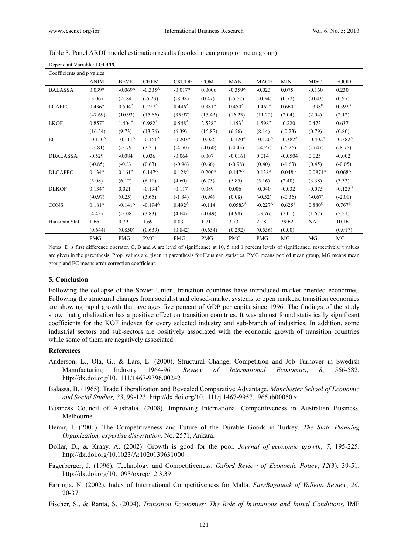| Dependant Variable: LGDPPC |                    |                    |                 |                  |                    |                    |                 |                 |                     |                  |
|----------------------------|--------------------|--------------------|-----------------|------------------|--------------------|--------------------|-----------------|-----------------|---------------------|------------------|
| Coefficients and p values  |                    |                    |                 |                  |                    |                    |                 |                 |                     |                  |
|                            | <b>ANIM</b>        | <b>BEVE</b>        | <b>CHEM</b>     | <b>CRUDE</b>     | <b>COM</b>         | <b>MAN</b>         | <b>MACH</b>     | <b>MIN</b>      | <b>MISC</b>         | <b>FOOD</b>      |
| <b>BALASSA</b>             | $0.039^{A}$        | $-0.069A$          | $-0.335^{A}$    | $-0.017^{\rm A}$ | 0.0006             | $-0.359A$          | $-0.023$        | 0.075           | $-0.160$            | 0.230            |
|                            | (3.06)             | $(-2.84)$          | $(-5.23)$       | $(-8.38)$        | (0.47)             | $(-5.57)$          | $(-0.34)$       | (0.72)          | $(-0.43)$           | (0.97)           |
| <b>LCAPPC</b>              | 0.436 <sup>A</sup> | $0.504^{A}$        | $0.227^{\rm A}$ | $0.446^{A}$      | 0.381 <sup>A</sup> | $0.450^{A}$        | $0.462^{\rm A}$ | $0.660^{\rm B}$ | $0.398^{\rm B}$     | $0.392^{\rm B}$  |
|                            | (47.69)            | (10.93)            | (15.66)         | (35.97)          | (13.43)            | (16.23)            | (11.22)         | (2.04)          | (2.04)              | (2.12)           |
| <b>LKOF</b>                | $0.857^{A}$        | $1.404^{A}$        | $0.982^{A}$     | $0.548^{A}$      | $2.538^{A}$        | 1.153 <sup>A</sup> | $1.598^{A}$     | $-0.220$        | 0.473               | 0.637            |
|                            | (16.54)            | (9.73)             | (13.76)         | (6.39)           | (15.87)            | (6.56)             | (8.14)          | $(-0.23)$       | (0.79)              | (0.80)           |
| EC                         | $-0.150^{A}$       | $-0.111^{A}$       | $-0.161A$       | $-0.203A$        | $-0.026$           | $-0.120A$          | $-0.126A$       | $-0.382A$       | $-0.402A$           | $-0.382A$        |
|                            | $(-3.81)$          | $(-3.79)$          | (3.20)          | $(-4.50)$        | $(-0.60)$          | $(-4.43)$          | $(-4.27)$       | $(-6.26)$       | $(-5.47)$           | $(-8.75)$        |
| <b>DBALASSA</b>            | $-0.529$           | $-0.084$           | 0.036           | $-0.064$         | 0.007              | $-0.0161$          | 0.014           | $-0.0504$       | 0.025               | $-0.002$         |
|                            | $(-0.85)$          | $(-0.8)$           | (0.63)          | $(-0.96)$        | (0.66)             | $(-0.98)$          | (0.40)          | $(-1.63)$       | (0.45)              | $(-0.05)$        |
| <b>DLCAPPC</b>             | $0.134^{A}$        | 0.161 <sup>A</sup> | $0.147^{A}$     | $0.128^{A}$      | $0.200^{A}$        | $0.147^{A}$        | $0.138^{A}$     | $0.048^{A}$     | 0.0871 <sup>A</sup> | $0.068^{A}$      |
|                            | (5.08)             | (6.12)             | (6.11)          | (4.60)           | (6.73)             | (5.85)             | (5.16)          | (2.40)          | (3.38)              | (3.33)           |
| <b>DLKOF</b>               | $0.134^{A}$        | 0.021              | $-0.194A$       | $-0.117$         | 0.089              | 0.006              | $-0.040$        | $-0.032$        | $-0.075$            | $-0.125^{\rm B}$ |
|                            | $(-0.97)$          | (0.25)             | (3.65)          | $(-1.34)$        | (0.94)             | (0.08)             | $(-0.52)$       | $(-0.36)$       | $(-0.67)$           | $(-2.01)$        |
| <b>CONS</b>                | $0.181^{A}$        | $-0.141A$          | $-0.194A$       | $0.492^{\rm A}$  | $-0.114$           | $0.0583^{A}$       | $-0.227A$       | $0.625^{\rm B}$ | 0.880 <sup>C</sup>  | $0.767^{\rm B}$  |
|                            | (4.43)             | $(-3.08)$          | (3.83)          | (4.64)           | $(-0.49)$          | (4.98)             | $(-3.76)$       | (2.01)          | (1.67)              | (2.21)           |
| Hausman Stat.              | 1.66               | 0.79               | 1.69            | 0.83             | 1.71               | 3.73               | 2.08            | 39.62           | NA                  | 10.16            |
|                            | (0.644)            | (0.850)            | (0.639)         | (0.842)          | (0.634)            | (0.292)            | (0.556)         | (0.00)          |                     | (0.017)          |
|                            | <b>PMG</b>         | <b>PMG</b>         | <b>PMG</b>      | <b>PMG</b>       | <b>PMG</b>         | <b>PMG</b>         | <b>PMG</b>      | MG              | MG                  | MG               |

Table 3. Panel ARDL model estimation results (pooled mean group or mean group)

Notes: D is first difference operator. C, B and A are level of significance at 10, 5 and 1 percent levels of significance, respectively. t values are given in the parenthesis. Prop. values are given in parenthesis for Hausman statistics. PMG means pooled mean group, MG means mean group and EC means error correction coefficient.

#### **5. Conclusion**

Following the collapse of the Soviet Union, transition countries have introduced market-oriented economies. Following the structural changes from socialist and closed-market systems to open markets, transition economies are showing rapid growth that averages five percent of GDP per capita since 1996. The findings of the study show that globalization has a positive effect on transition countries. It was almost found statistically significant coefficients for the KOF indexes for every selected industry and sub-branch of industries. In addition, some industrial sectors and sub-sectors are positively associated with the economic growth of transition countries while some of them are negatively associated.

#### **References**

- Anderson, L., Ola, G., & Lars, L. (2000). Structural Change, Competition and Job Turnover in Swedish Manufacturing Industry 1964-96. *Review of International Economics*, *8*, 566-582. http://dx.doi.org/10.1111/1467-9396.00242
- Balassa, B. (1965). Trade Liberalization and Revealed Comparative Advantage. *Manchester School of Economic and Social Studies, 33*, 99-123. http://dx.doi.org/10.1111/j.1467-9957.1965.tb00050.x
- Business Council of Australia. (2008). Improving International Competitiveness in Australian Business, Melbourne.
- Demir, İ. (2001). The Competitiveness and Future of the Durable Goods in Turkey. *The State Planning Organization, expertise dissertation,* No. 2571, Ankara.
- Dollar, D., & Kraay, A. (2002). Growth is good for the poor. *Journal of economic growth*, *7*, 195-225. http://dx.doi.org/10.1023/A:1020139631000
- Fagerberger, J. (1996). Technology and Competitiveness. *Oxford Review of Economic Policy*, *12*(3), 39-51. http://dx.doi.org/10.1093/oxrep/12.3.39
- Farrugia, N. (2002). Index of International Competitiveness for Malta. *FarrBugainak of Valletta Review*, *26*, 20-37.
- Fischer, S., & Ranta, S. (2004). *Transition Economies: The Role of Institutions and Initial Conditions*. IMF